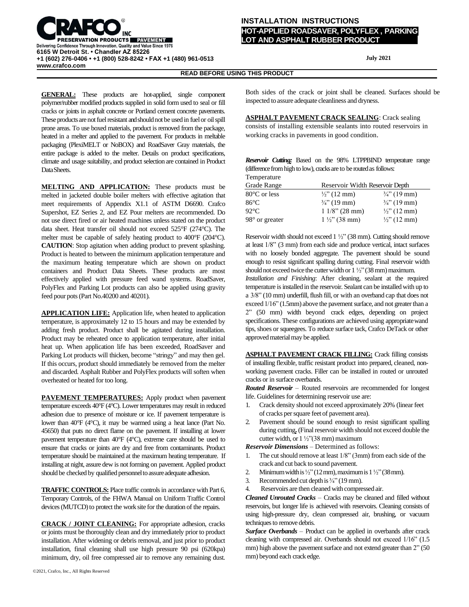

## **INSTALLATION INSTRUCTIONS**

**HOT-APPLIED ROADSAVER, POLYFLEX , PARKING LOT AND ASPHALT RUBBER PRODUCT** 

 **July 2021**

**READ BEFORE USING THIS PRODUCT**

**GENERAL:** These products are hot-applied, single component polymer/rubber modified products supplied in solid form used to seal or fill cracks or joints in asphalt concrete or Portland cement concrete pavements. These products are not fuel resistant and should not be used in fuel or oil spill prone areas. To use boxed materials, product is removed from the package, heated in a melter and applied to the pavement. For products in meltable packaging (PlexiMELT or NoBOX) and RoadSaver Gray materials, the entire package is added to the melter. Details on product specifications, climate and usage suitability, and product selection are contained in Product DataSheets.

**MELTING AND APPLICATION:** These products must be melted in jacketed double boiler melters with effective agitation that meet requirements of Appendix X1.1 of ASTM D6690. Crafco Supershot, EZ Series 2, and EZ Pour melters are recommended. Do not use direct fired or air heated machines unless stated on the product data sheet. Heat transfer oil should not exceed 525°F (274°C). The melter must be capable of safely heating product to 400°F (204°C). **CAUTION**: Stop agitation when adding product to prevent splashing. Product is heated to between the minimum application temperature and the maximum heating temperature which are shown on product containers and Product Data Sheets. These products are most effectively applied with pressure feed wand systems. RoadSaver, PolyFlex and Parking Lot products can also be applied using gravity feed pour pots(Part No.40200 and 40201).

**APPLICATION LIFE:** Application life, when heated to application temperature, is approximately 12 to 15 hours and may be extended by adding fresh product. Product shall be agitated during installation. Product may be reheated once to application temperature, after initial heat up. When application life has been exceeded, RoadSaver and Parking Lot products will thicken, become "stringy" and may then gel. If this occurs, product should immediately be removed from the melter and discarded. Asphalt Rubber and PolyFlex products will soften when overheated or heated for too long.

**PAVEMENT TEMPERATURES:** Apply product when pavement temperature exceeds 40°F (4°C). Lower temperatures may result in reduced adhesion due to presence of moisture or ice. If pavement temperature is lower than 40°F (4°C), it may be warmed using a heat lance (Part No. 45650) that puts no direct flame on the pavement. If installing at lower pavement temperature than 40°F (4°C), extreme care should be used to ensure that cracks or joints are dry and free from contaminants. Product temperature should be maintained at the maximum heating temperature. If installing at night, assure dew is not forming on pavement. Applied product should be checked by qualified personnel to assure adequate adhesion.

**TRAFFIC CONTROLS:** Place traffic controls in accordance with Part 6, Temporary Controls, of the FHWA Manual on Uniform Traffic Control devices (MUTCD) to protect the work site for the duration of the repairs.

**CRACK / JOINT CLEANING:** For appropriate adhesion, cracks or joints must be thoroughly clean and dry immediately prior to product installation. After widening or debris removal, and just prior to product installation, final cleaning shall use high pressure 90 psi (620kpa) minimum, dry, oil free compressed air to remove any remaining dust.

**ASPHALT PAVEMENT CRACK SEALING**: Crack sealing consists of installing extensible sealants into routed reservoirs in working cracks in pavements in good condition.

|                                                                    |  |  |  |  |  | Reservoir Cutting: Based on the 98% LTPPBIND temperature range |  |  |  |
|--------------------------------------------------------------------|--|--|--|--|--|----------------------------------------------------------------|--|--|--|
| (difference from high to low), cracks are to be routed as follows: |  |  |  |  |  |                                                                |  |  |  |
| $\mathbf{r}$                                                       |  |  |  |  |  |                                                                |  |  |  |

| Temperature           |                         |                                 |  |  |  |  |  |  |
|-----------------------|-------------------------|---------------------------------|--|--|--|--|--|--|
| Grade Range           |                         | Reservoir Width Reservoir Depth |  |  |  |  |  |  |
| 80°C or less          | $\frac{1}{2}$ (12 mm)   | $\frac{3}{4}$ " (19 mm)         |  |  |  |  |  |  |
| $86^{\circ}$ C        | $\frac{3}{4}$ " (19 mm) | $\frac{3}{4}$ " (19 mm)         |  |  |  |  |  |  |
| $92^{\circ}$ C        | $11/8$ " (28 mm)        | $\frac{1}{2}$ " (12 mm)         |  |  |  |  |  |  |
| $98^\circ$ or greater | $1\frac{1}{2}$ (38 mm)  | $\frac{1}{2}$ " (12 mm)         |  |  |  |  |  |  |

Reservoir width should not exceed 1 ½" (38 mm). Cutting should remove at least 1/8" (3 mm) from each side and produce vertical, intact surfaces with no loosely bonded aggregate. The pavement should be sound enough to resist significant spalling during cutting. Final reservoir width should not exceed twice the cutter width or  $1\frac{1}{2}$ " (38 mm) maximum.

*Installation and Finishing*: After cleaning, sealant at the required temperature is installed in the reservoir. Sealant can be installed with up to a 3/8" (10 mm) underfill, flush fill, or with an overband cap that does not exceed  $1/16$ " (1.5mm) above the pavement surface, and not greater than a 2" (50 mm) width beyond crack edges, depending on project specifications. These configurations are achieved using appropriatewand tips, shoes or squeegees. To reduce surface tack, Crafco DeTack or other approved material may be applied.

**ASPHALT PAVEMENT CRACK FILLING:** Crack filling consists of installing flexible, traffic resistant product into prepared, cleaned, nonworking pavement cracks. Filler can be installed in routed or unrouted cracks or in surface overbands.

*Routed Reservoir* – Routed reservoirs are recommended for longest life. Guidelines for determining reservoir use are:

- 1. Crack density should not exceed approximately 20% (linear feet of cracks per square feet of pavement area).
- 2. Pavement should be sound enough to resist significant spalling during cutting. (Final reservoir width should not exceed double the cutter width, or 1 ½"(38 mm) maximum

*Reservoir Dimensions* – Determined as follows:

- The cut should remove at least  $1/8$ " (3mm) from each side of the crack and cut back to sound pavement.
- 2. Minimum width is  $\frac{1}{2}$ " (12 mm), maximum is  $1\frac{1}{2}$ " (38 mm).
- 3. Recommended cut depth is  $\frac{3}{4}$  (19 mm).
- 4. Reservoirs are then cleaned with compressed air.

*Cleaned Unrouted Cracks* – Cracks may be cleaned and filled without reservoirs, but longer life is achieved with reservoirs. Cleaning consists of using high-pressure dry, clean compressed air, brushing, or vacuum techniques to remove debris.

*Surface Overbands* – Product can be applied in overbands after crack cleaning with compressed air. Overbands should not exceed 1/16" (1.5 mm) high above the pavement surface and not extend greater than  $2"$  (50 mm) beyond each crack edge.